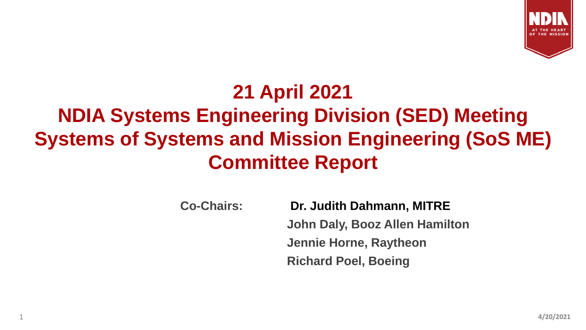

## **21 April 2021 NDIA Systems Engineering Division (SED) Meeting Systems of Systems and Mission Engineering (SoS ME) Committee Report**

**Co-Chairs: Dr. Judith Dahmann, MITRE John Daly, Booz Allen Hamilton Jennie Horne, Raytheon Richard Poel, Boeing**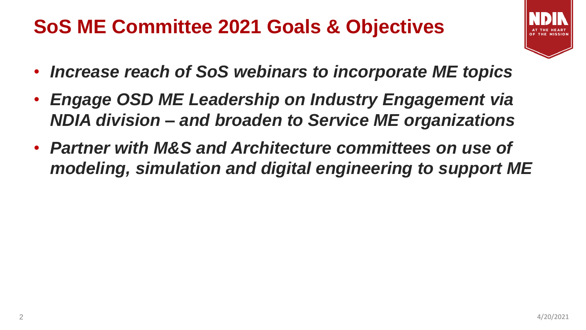#### **SoS ME Committee 2021 Goals & Objectives**

- 
- *Increase reach of SoS webinars to incorporate ME topics*
- *Engage OSD ME Leadership on Industry Engagement via NDIA division – and broaden to Service ME organizations*
- *Partner with M&S and Architecture committees on use of modeling, simulation and digital engineering to support ME*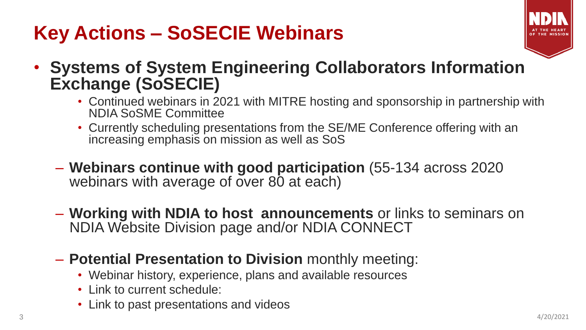# **Key Actions – SoSECIE Webinars**



- **Systems of System Engineering Collaborators Information Exchange (SoSECIE)**
	- Continued webinars in 2021 with MITRE hosting and sponsorship in partnership with NDIA SoSME Committee
	- Currently scheduling presentations from the SE/ME Conference offering with an increasing emphasis on mission as well as SoS
	- **Webinars continue with good participation** (55-134 across 2020 webinars with average of over 80 at each)
	- **Working with NDIA to host announcements** or links to seminars on NDIA Website Division page and/or NDIA CONNECT
	- **Potential Presentation to Division** monthly meeting:
		- Webinar history, experience, plans and available resources
		- Link to current schedule:
		- Link to past presentations and videos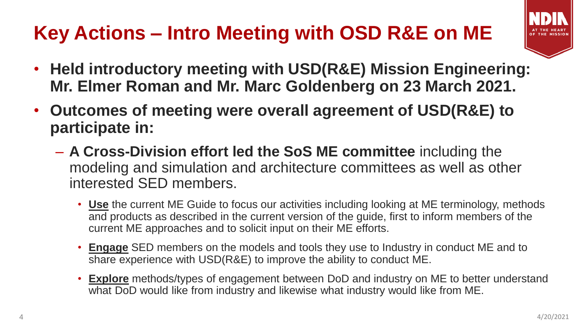# **Key Actions – Intro Meeting with OSD R&E on ME**

- 
- **Held introductory meeting with USD(R&E) Mission Engineering: Mr. Elmer Roman and Mr. Marc Goldenberg on 23 March 2021.**
- **Outcomes of meeting were overall agreement of USD(R&E) to participate in:**
	- **A Cross-Division effort led the SoS ME committee** including the modeling and simulation and architecture committees as well as other interested SED members.
		- **Use** the current ME Guide to focus our activities including looking at ME terminology, methods and products as described in the current version of the guide, first to inform members of the current ME approaches and to solicit input on their ME efforts.
		- **Engage** SED members on the models and tools they use to Industry in conduct ME and to share experience with USD(R&E) to improve the ability to conduct ME.
		- **Explore** methods/types of engagement between DoD and industry on ME to better understand what DoD would like from industry and likewise what industry would like from ME.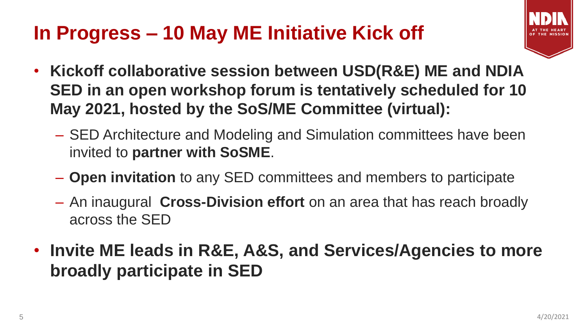## **In Progress – 10 May ME Initiative Kick off**



- **Kickoff collaborative session between USD(R&E) ME and NDIA SED in an open workshop forum is tentatively scheduled for 10 May 2021, hosted by the SoS/ME Committee (virtual):**
	- SED Architecture and Modeling and Simulation committees have been invited to **partner with SoSME**.
	- **Open invitation** to any SED committees and members to participate
	- An inaugural **Cross-Division effort** on an area that has reach broadly across the SED
- **Invite ME leads in R&E, A&S, and Services/Agencies to more broadly participate in SED**